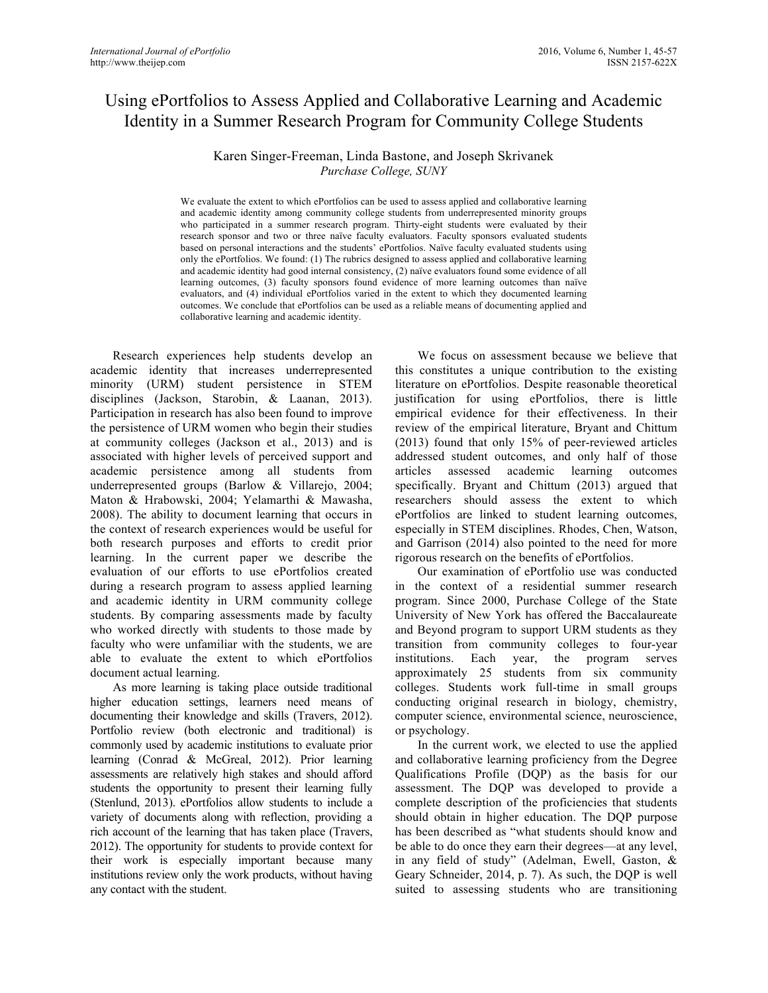# Using ePortfolios to Assess Applied and Collaborative Learning and Academic Identity in a Summer Research Program for Community College Students

# Karen Singer-Freeman, Linda Bastone, and Joseph Skrivanek *Purchase College, SUNY*

We evaluate the extent to which ePortfolios can be used to assess applied and collaborative learning and academic identity among community college students from underrepresented minority groups who participated in a summer research program. Thirty-eight students were evaluated by their research sponsor and two or three naïve faculty evaluators. Faculty sponsors evaluated students based on personal interactions and the students' ePortfolios. Naïve faculty evaluated students using only the ePortfolios. We found: (1) The rubrics designed to assess applied and collaborative learning and academic identity had good internal consistency, (2) naïve evaluators found some evidence of all learning outcomes, (3) faculty sponsors found evidence of more learning outcomes than naïve evaluators, and (4) individual ePortfolios varied in the extent to which they documented learning outcomes. We conclude that ePortfolios can be used as a reliable means of documenting applied and collaborative learning and academic identity.

Research experiences help students develop an academic identity that increases underrepresented minority (URM) student persistence in STEM disciplines (Jackson, Starobin, & Laanan, 2013). Participation in research has also been found to improve the persistence of URM women who begin their studies at community colleges (Jackson et al., 2013) and is associated with higher levels of perceived support and academic persistence among all students from underrepresented groups (Barlow & Villarejo, 2004; Maton & Hrabowski, 2004; Yelamarthi & Mawasha, 2008). The ability to document learning that occurs in the context of research experiences would be useful for both research purposes and efforts to credit prior learning. In the current paper we describe the evaluation of our efforts to use ePortfolios created during a research program to assess applied learning and academic identity in URM community college students. By comparing assessments made by faculty who worked directly with students to those made by faculty who were unfamiliar with the students, we are able to evaluate the extent to which ePortfolios document actual learning.

As more learning is taking place outside traditional higher education settings, learners need means of documenting their knowledge and skills (Travers, 2012). Portfolio review (both electronic and traditional) is commonly used by academic institutions to evaluate prior learning (Conrad & McGreal, 2012). Prior learning assessments are relatively high stakes and should afford students the opportunity to present their learning fully (Stenlund, 2013). ePortfolios allow students to include a variety of documents along with reflection, providing a rich account of the learning that has taken place (Travers, 2012). The opportunity for students to provide context for their work is especially important because many institutions review only the work products, without having any contact with the student.

We focus on assessment because we believe that this constitutes a unique contribution to the existing literature on ePortfolios. Despite reasonable theoretical justification for using ePortfolios, there is little empirical evidence for their effectiveness. In their review of the empirical literature, Bryant and Chittum (2013) found that only 15% of peer-reviewed articles addressed student outcomes, and only half of those articles assessed academic learning outcomes specifically. Bryant and Chittum (2013) argued that researchers should assess the extent to which ePortfolios are linked to student learning outcomes, especially in STEM disciplines. Rhodes, Chen, Watson, and Garrison (2014) also pointed to the need for more rigorous research on the benefits of ePortfolios.

Our examination of ePortfolio use was conducted in the context of a residential summer research program. Since 2000, Purchase College of the State University of New York has offered the Baccalaureate and Beyond program to support URM students as they transition from community colleges to four-year institutions. Each year, the program serves approximately 25 students from six community colleges. Students work full-time in small groups conducting original research in biology, chemistry, computer science, environmental science, neuroscience, or psychology.

In the current work, we elected to use the applied and collaborative learning proficiency from the Degree Qualifications Profile (DQP) as the basis for our assessment. The DQP was developed to provide a complete description of the proficiencies that students should obtain in higher education. The DQP purpose has been described as "what students should know and be able to do once they earn their degrees—at any level, in any field of study" (Adelman, Ewell, Gaston, & Geary Schneider, 2014, p. 7). As such, the DQP is well suited to assessing students who are transitioning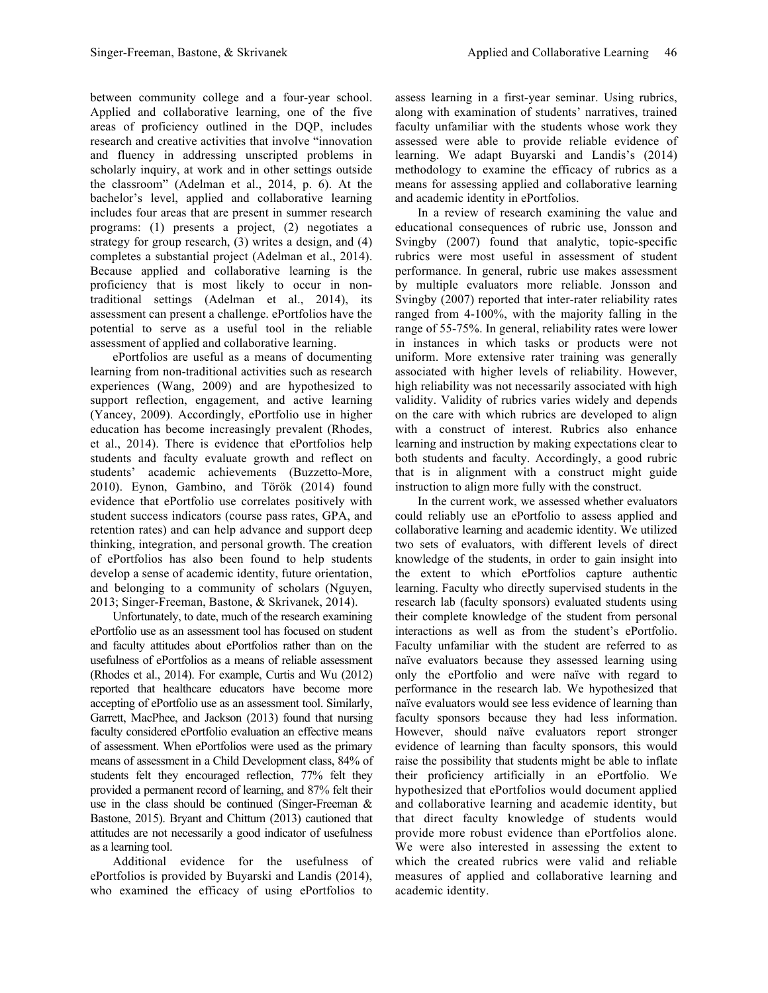between community college and a four-year school. Applied and collaborative learning, one of the five areas of proficiency outlined in the DQP, includes research and creative activities that involve "innovation and fluency in addressing unscripted problems in scholarly inquiry, at work and in other settings outside the classroom" (Adelman et al., 2014, p. 6). At the bachelor's level, applied and collaborative learning includes four areas that are present in summer research programs: (1) presents a project, (2) negotiates a strategy for group research, (3) writes a design, and (4) completes a substantial project (Adelman et al., 2014). Because applied and collaborative learning is the proficiency that is most likely to occur in nontraditional settings (Adelman et al., 2014), its assessment can present a challenge. ePortfolios have the potential to serve as a useful tool in the reliable assessment of applied and collaborative learning.

ePortfolios are useful as a means of documenting learning from non-traditional activities such as research experiences (Wang, 2009) and are hypothesized to support reflection, engagement, and active learning (Yancey, 2009). Accordingly, ePortfolio use in higher education has become increasingly prevalent (Rhodes, et al., 2014). There is evidence that ePortfolios help students and faculty evaluate growth and reflect on students' academic achievements (Buzzetto-More, 2010). Eynon, Gambino, and Török (2014) found evidence that ePortfolio use correlates positively with student success indicators (course pass rates, GPA, and retention rates) and can help advance and support deep thinking, integration, and personal growth. The creation of ePortfolios has also been found to help students develop a sense of academic identity, future orientation, and belonging to a community of scholars (Nguyen, 2013; Singer-Freeman, Bastone, & Skrivanek, 2014).

Unfortunately, to date, much of the research examining ePortfolio use as an assessment tool has focused on student and faculty attitudes about ePortfolios rather than on the usefulness of ePortfolios as a means of reliable assessment (Rhodes et al., 2014). For example, Curtis and Wu (2012) reported that healthcare educators have become more accepting of ePortfolio use as an assessment tool. Similarly, Garrett, MacPhee, and Jackson (2013) found that nursing faculty considered ePortfolio evaluation an effective means of assessment. When ePortfolios were used as the primary means of assessment in a Child Development class, 84% of students felt they encouraged reflection, 77% felt they provided a permanent record of learning, and 87% felt their use in the class should be continued (Singer-Freeman & Bastone, 2015). Bryant and Chittum (2013) cautioned that attitudes are not necessarily a good indicator of usefulness as a learning tool.

Additional evidence for the usefulness of ePortfolios is provided by Buyarski and Landis (2014), who examined the efficacy of using ePortfolios to

assess learning in a first-year seminar. Using rubrics, along with examination of students' narratives, trained faculty unfamiliar with the students whose work they assessed were able to provide reliable evidence of learning. We adapt Buyarski and Landis's (2014) methodology to examine the efficacy of rubrics as a means for assessing applied and collaborative learning and academic identity in ePortfolios.

In a review of research examining the value and educational consequences of rubric use, Jonsson and Svingby (2007) found that analytic, topic-specific rubrics were most useful in assessment of student performance. In general, rubric use makes assessment by multiple evaluators more reliable. Jonsson and Svingby (2007) reported that inter-rater reliability rates ranged from 4-100%, with the majority falling in the range of 55-75%. In general, reliability rates were lower in instances in which tasks or products were not uniform. More extensive rater training was generally associated with higher levels of reliability. However, high reliability was not necessarily associated with high validity. Validity of rubrics varies widely and depends on the care with which rubrics are developed to align with a construct of interest. Rubrics also enhance learning and instruction by making expectations clear to both students and faculty. Accordingly, a good rubric that is in alignment with a construct might guide instruction to align more fully with the construct.

In the current work, we assessed whether evaluators could reliably use an ePortfolio to assess applied and collaborative learning and academic identity. We utilized two sets of evaluators, with different levels of direct knowledge of the students, in order to gain insight into the extent to which ePortfolios capture authentic learning. Faculty who directly supervised students in the research lab (faculty sponsors) evaluated students using their complete knowledge of the student from personal interactions as well as from the student's ePortfolio. Faculty unfamiliar with the student are referred to as naïve evaluators because they assessed learning using only the ePortfolio and were naïve with regard to performance in the research lab. We hypothesized that naïve evaluators would see less evidence of learning than faculty sponsors because they had less information. However, should naïve evaluators report stronger evidence of learning than faculty sponsors, this would raise the possibility that students might be able to inflate their proficiency artificially in an ePortfolio. We hypothesized that ePortfolios would document applied and collaborative learning and academic identity, but that direct faculty knowledge of students would provide more robust evidence than ePortfolios alone. We were also interested in assessing the extent to which the created rubrics were valid and reliable measures of applied and collaborative learning and academic identity.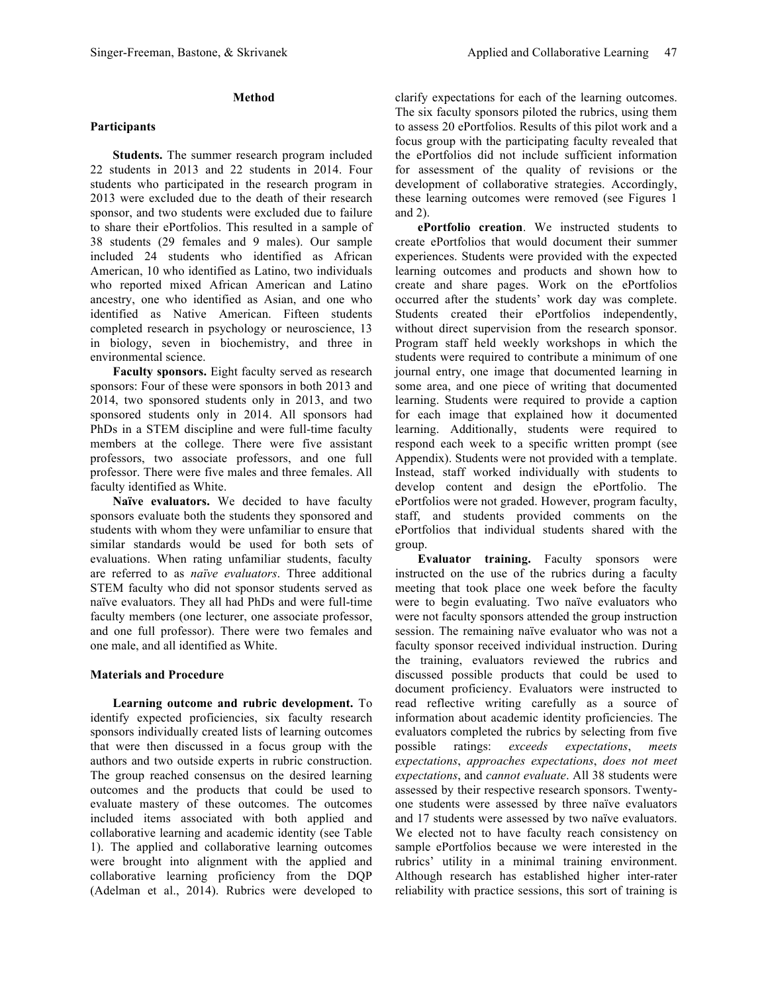# **Method**

# **Participants**

**Students.** The summer research program included 22 students in 2013 and 22 students in 2014. Four students who participated in the research program in 2013 were excluded due to the death of their research sponsor, and two students were excluded due to failure to share their ePortfolios. This resulted in a sample of 38 students (29 females and 9 males). Our sample included 24 students who identified as African American, 10 who identified as Latino, two individuals who reported mixed African American and Latino ancestry, one who identified as Asian, and one who identified as Native American. Fifteen students completed research in psychology or neuroscience, 13 in biology, seven in biochemistry, and three in environmental science.

**Faculty sponsors.** Eight faculty served as research sponsors: Four of these were sponsors in both 2013 and 2014, two sponsored students only in 2013, and two sponsored students only in 2014. All sponsors had PhDs in a STEM discipline and were full-time faculty members at the college. There were five assistant professors, two associate professors, and one full professor. There were five males and three females. All faculty identified as White.

**Naïve evaluators.** We decided to have faculty sponsors evaluate both the students they sponsored and students with whom they were unfamiliar to ensure that similar standards would be used for both sets of evaluations. When rating unfamiliar students, faculty are referred to as *naïve evaluators*. Three additional STEM faculty who did not sponsor students served as naïve evaluators. They all had PhDs and were full-time faculty members (one lecturer, one associate professor, and one full professor). There were two females and one male, and all identified as White.

## **Materials and Procedure**

**Learning outcome and rubric development.** To identify expected proficiencies, six faculty research sponsors individually created lists of learning outcomes that were then discussed in a focus group with the authors and two outside experts in rubric construction. The group reached consensus on the desired learning outcomes and the products that could be used to evaluate mastery of these outcomes. The outcomes included items associated with both applied and collaborative learning and academic identity (see Table 1). The applied and collaborative learning outcomes were brought into alignment with the applied and collaborative learning proficiency from the DQP (Adelman et al., 2014). Rubrics were developed to

clarify expectations for each of the learning outcomes. The six faculty sponsors piloted the rubrics, using them to assess 20 ePortfolios. Results of this pilot work and a focus group with the participating faculty revealed that the ePortfolios did not include sufficient information for assessment of the quality of revisions or the development of collaborative strategies. Accordingly, these learning outcomes were removed (see Figures 1 and 2).

**ePortfolio creation**. We instructed students to create ePortfolios that would document their summer experiences. Students were provided with the expected learning outcomes and products and shown how to create and share pages. Work on the ePortfolios occurred after the students' work day was complete. Students created their ePortfolios independently, without direct supervision from the research sponsor. Program staff held weekly workshops in which the students were required to contribute a minimum of one journal entry, one image that documented learning in some area, and one piece of writing that documented learning. Students were required to provide a caption for each image that explained how it documented learning. Additionally, students were required to respond each week to a specific written prompt (see Appendix). Students were not provided with a template. Instead, staff worked individually with students to develop content and design the ePortfolio. The ePortfolios were not graded. However, program faculty, staff, and students provided comments on the ePortfolios that individual students shared with the group.

**Evaluator training.** Faculty sponsors were instructed on the use of the rubrics during a faculty meeting that took place one week before the faculty were to begin evaluating. Two naïve evaluators who were not faculty sponsors attended the group instruction session. The remaining naïve evaluator who was not a faculty sponsor received individual instruction. During the training, evaluators reviewed the rubrics and discussed possible products that could be used to document proficiency. Evaluators were instructed to read reflective writing carefully as a source of information about academic identity proficiencies. The evaluators completed the rubrics by selecting from five possible ratings: *exceeds expectations*, *meets expectations*, *approaches expectations*, *does not meet expectations*, and *cannot evaluate*. All 38 students were assessed by their respective research sponsors. Twentyone students were assessed by three naïve evaluators and 17 students were assessed by two naïve evaluators. We elected not to have faculty reach consistency on sample ePortfolios because we were interested in the rubrics' utility in a minimal training environment. Although research has established higher inter-rater reliability with practice sessions, this sort of training is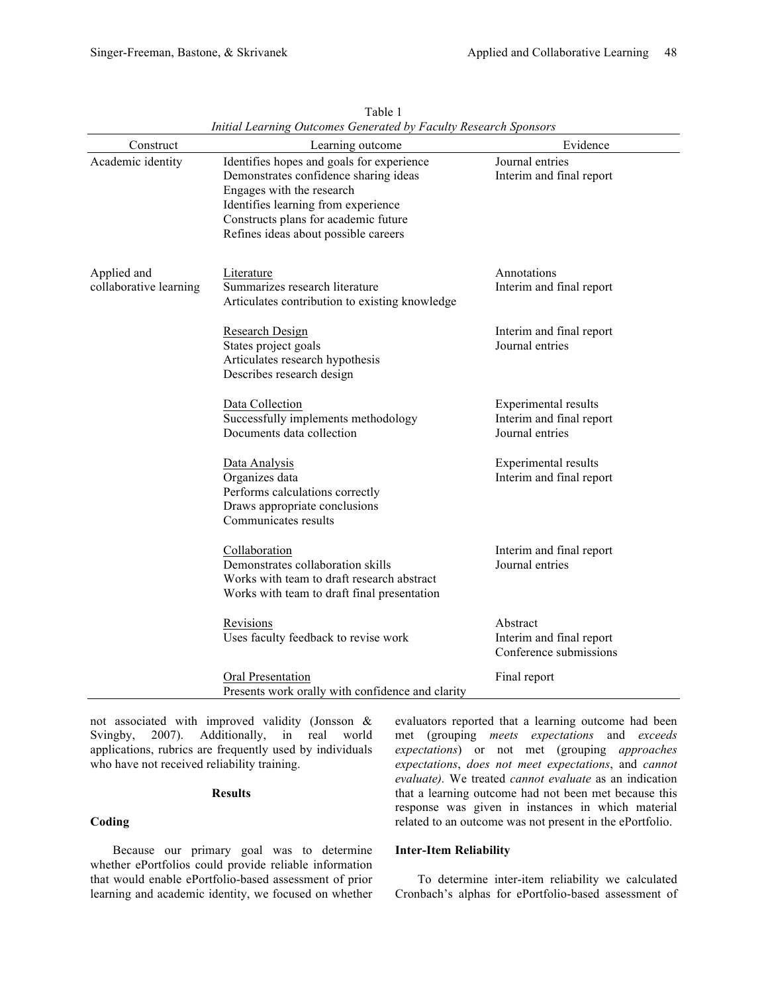| Construct                             | muuu Leurning Outcomes Generated by Fucully Research Sponsors<br>Learning outcome                                                                                                                                                      | Evidence                                                            |
|---------------------------------------|----------------------------------------------------------------------------------------------------------------------------------------------------------------------------------------------------------------------------------------|---------------------------------------------------------------------|
| Academic identity                     | Identifies hopes and goals for experience<br>Demonstrates confidence sharing ideas<br>Engages with the research<br>Identifies learning from experience<br>Constructs plans for academic future<br>Refines ideas about possible careers | Journal entries<br>Interim and final report                         |
| Applied and<br>collaborative learning | Literature<br>Summarizes research literature<br>Articulates contribution to existing knowledge                                                                                                                                         | Annotations<br>Interim and final report                             |
|                                       | Research Design<br>States project goals<br>Articulates research hypothesis<br>Describes research design                                                                                                                                | Interim and final report<br>Journal entries                         |
|                                       | Data Collection<br>Successfully implements methodology<br>Documents data collection                                                                                                                                                    | Experimental results<br>Interim and final report<br>Journal entries |
|                                       | Data Analysis<br>Organizes data<br>Performs calculations correctly<br>Draws appropriate conclusions<br>Communicates results                                                                                                            | <b>Experimental results</b><br>Interim and final report             |
|                                       | Collaboration<br>Demonstrates collaboration skills<br>Works with team to draft research abstract<br>Works with team to draft final presentation                                                                                        | Interim and final report<br>Journal entries                         |
|                                       | Revisions<br>Uses faculty feedback to revise work                                                                                                                                                                                      | Abstract<br>Interim and final report<br>Conference submissions      |
|                                       | Oral Presentation<br>Presents work orally with confidence and clarity                                                                                                                                                                  | Final report                                                        |

Table 1 *Initial Learning Outcomes Generated by Faculty Research Sponsors*

not associated with improved validity (Jonsson & Svingby, 2007). Additionally, in real world applications, rubrics are frequently used by individuals who have not received reliability training.

#### **Results**

# **Coding**

Because our primary goal was to determine whether ePortfolios could provide reliable information that would enable ePortfolio-based assessment of prior learning and academic identity, we focused on whether

evaluators reported that a learning outcome had been met (grouping *meets expectations* and *exceeds expectations*) or not met (grouping *approaches expectations*, *does not meet expectations*, and *cannot evaluate).* We treated *cannot evaluate* as an indication that a learning outcome had not been met because this response was given in instances in which material related to an outcome was not present in the ePortfolio.

#### **Inter-Item Reliability**

To determine inter-item reliability we calculated Cronbach's alphas for ePortfolio-based assessment of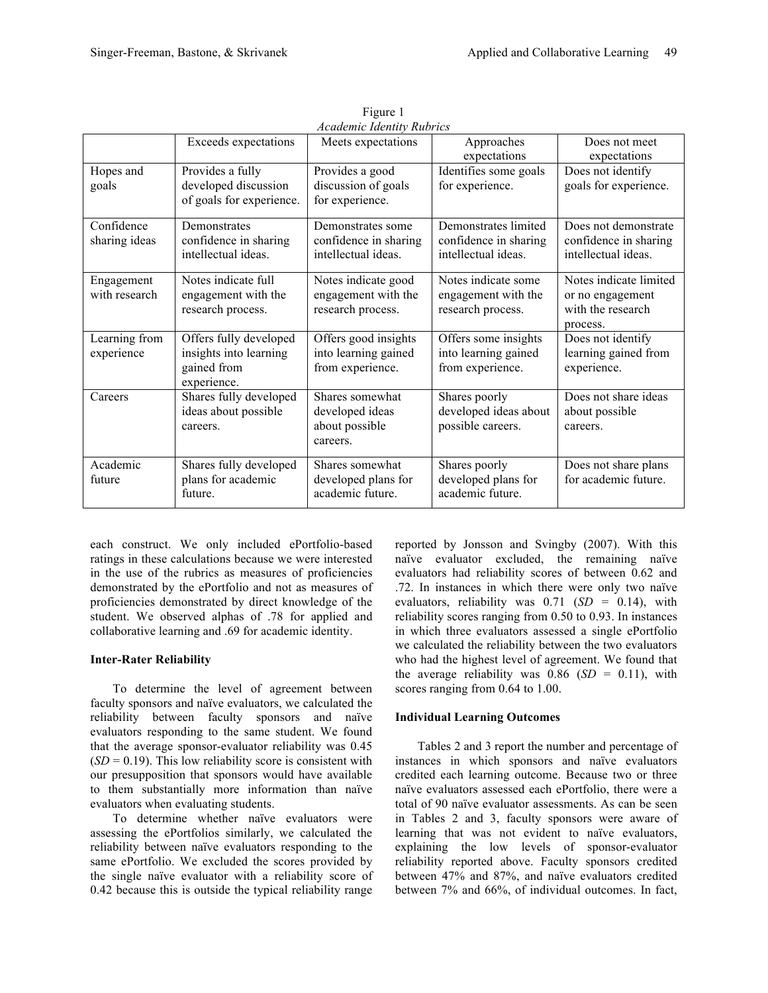|               | Exceeds expectations     | Meets expectations    | Approaches            | Does not meet          |
|---------------|--------------------------|-----------------------|-----------------------|------------------------|
|               |                          |                       | expectations          | expectations           |
| Hopes and     | Provides a fully         | Provides a good       | Identifies some goals | Does not identify      |
| goals         | developed discussion     | discussion of goals   | for experience.       | goals for experience.  |
|               | of goals for experience. | for experience.       |                       |                        |
| Confidence    | Demonstrates             | Demonstrates some     | Demonstrates limited  | Does not demonstrate   |
| sharing ideas | confidence in sharing    | confidence in sharing | confidence in sharing | confidence in sharing  |
|               | intellectual ideas.      | intellectual ideas.   | intellectual ideas.   | intellectual ideas.    |
| Engagement    | Notes indicate full      | Notes indicate good   | Notes indicate some   | Notes indicate limited |
| with research | engagement with the      | engagement with the   | engagement with the   | or no engagement       |
|               | research process.        | research process.     | research process.     | with the research      |
|               |                          |                       |                       | process.               |
| Learning from | Offers fully developed   | Offers good insights  | Offers some insights  | Does not identify      |
| experience    | insights into learning   | into learning gained  | into learning gained  | learning gained from   |
|               | gained from              | from experience.      | from experience.      | experience.            |
|               | experience.              |                       |                       |                        |
| Careers       | Shares fully developed   | Shares somewhat       | Shares poorly         | Does not share ideas   |
|               | ideas about possible     | developed ideas       | developed ideas about | about possible         |
|               | careers.                 | about possible        | possible careers.     | careers.               |
|               |                          | careers.              |                       |                        |
| Academic      | Shares fully developed   | Shares somewhat       | Shares poorly         | Does not share plans   |
| future        | plans for academic       | developed plans for   | developed plans for   | for academic future.   |
|               | future.                  | academic future.      | academic future.      |                        |
|               |                          |                       |                       |                        |

Figure 1 *Academic Identity Rubrics*

each construct. We only included ePortfolio-based ratings in these calculations because we were interested in the use of the rubrics as measures of proficiencies demonstrated by the ePortfolio and not as measures of proficiencies demonstrated by direct knowledge of the student. We observed alphas of .78 for applied and collaborative learning and .69 for academic identity.

## **Inter-Rater Reliability**

To determine the level of agreement between faculty sponsors and naïve evaluators, we calculated the reliability between faculty sponsors and naïve evaluators responding to the same student. We found that the average sponsor-evaluator reliability was 0.45  $(SD = 0.19)$ . This low reliability score is consistent with our presupposition that sponsors would have available to them substantially more information than naïve evaluators when evaluating students.

To determine whether naïve evaluators were assessing the ePortfolios similarly, we calculated the reliability between naïve evaluators responding to the same ePortfolio. We excluded the scores provided by the single naïve evaluator with a reliability score of 0.42 because this is outside the typical reliability range

reported by Jonsson and Svingby (2007). With this naïve evaluator excluded, the remaining naïve evaluators had reliability scores of between 0.62 and .72. In instances in which there were only two naïve evaluators, reliability was  $0.71$  (*SD* = 0.14), with reliability scores ranging from 0.50 to 0.93. In instances in which three evaluators assessed a single ePortfolio we calculated the reliability between the two evaluators who had the highest level of agreement. We found that the average reliability was  $0.86$  (*SD* = 0.11), with scores ranging from 0.64 to 1.00.

# **Individual Learning Outcomes**

Tables 2 and 3 report the number and percentage of instances in which sponsors and naïve evaluators credited each learning outcome. Because two or three naïve evaluators assessed each ePortfolio, there were a total of 90 naïve evaluator assessments. As can be seen in Tables 2 and 3, faculty sponsors were aware of learning that was not evident to naïve evaluators, explaining the low levels of sponsor-evaluator reliability reported above. Faculty sponsors credited between 47% and 87%, and naïve evaluators credited between 7% and 66%, of individual outcomes. In fact,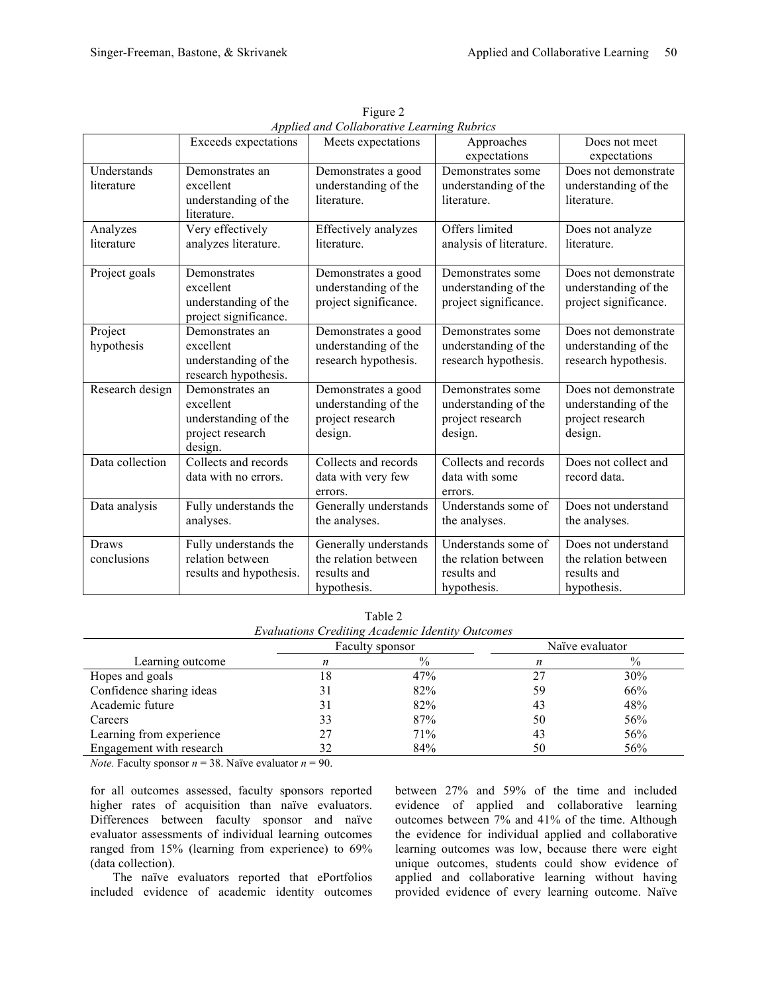| <i>hpphea ana comadorative Learning Kaories</i> |                                                                                     |                                                                             |                                                                           |                                                                             |  |
|-------------------------------------------------|-------------------------------------------------------------------------------------|-----------------------------------------------------------------------------|---------------------------------------------------------------------------|-----------------------------------------------------------------------------|--|
|                                                 | Exceeds expectations                                                                | Meets expectations                                                          | Approaches<br>expectations                                                | Does not meet<br>expectations                                               |  |
| Understands<br>literature                       | Demonstrates an<br>excellent<br>understanding of the<br>literature.                 | Demonstrates a good<br>understanding of the<br>literature.                  | Demonstrates some<br>understanding of the<br>literature.                  | Does not demonstrate<br>understanding of the<br>literature.                 |  |
| Analyzes<br>literature                          | Very effectively<br>analyzes literature.                                            | Effectively analyzes<br>literature.                                         | Offers limited<br>analysis of literature.                                 | Does not analyze<br>literature.                                             |  |
| Project goals                                   | Demonstrates<br>excellent<br>understanding of the<br>project significance.          | Demonstrates a good<br>understanding of the<br>project significance.        | Demonstrates some<br>understanding of the<br>project significance.        | Does not demonstrate<br>understanding of the<br>project significance.       |  |
| Project<br>hypothesis                           | Demonstrates an<br>excellent<br>understanding of the<br>research hypothesis.        | Demonstrates a good<br>understanding of the<br>research hypothesis.         | Demonstrates some<br>understanding of the<br>research hypothesis.         | Does not demonstrate<br>understanding of the<br>research hypothesis.        |  |
| Research design                                 | Demonstrates an<br>excellent<br>understanding of the<br>project research<br>design. | Demonstrates a good<br>understanding of the<br>project research<br>design.  | Demonstrates some<br>understanding of the<br>project research<br>design.  | Does not demonstrate<br>understanding of the<br>project research<br>design. |  |
| Data collection                                 | Collects and records<br>data with no errors.                                        | Collects and records<br>data with very few<br>errors.                       | Collects and records<br>data with some<br>errors.                         | Does not collect and<br>record data.                                        |  |
| Data analysis                                   | Fully understands the<br>analyses.                                                  | Generally understands<br>the analyses.                                      | Understands some of<br>the analyses.                                      | Does not understand<br>the analyses.                                        |  |
| <b>Draws</b><br>conclusions                     | Fully understands the<br>relation between<br>results and hypothesis.                | Generally understands<br>the relation between<br>results and<br>hypothesis. | Understands some of<br>the relation between<br>results and<br>hypothesis. | Does not understand<br>the relation between<br>results and<br>hypothesis.   |  |

Figure 2 *Applied and Collaborative Learning Rubrics*

Table 2 *Evaluations Crediting Academic Identity Outcomes*

|                          | Faculty sponsor |      | Naïve evaluator |               |
|--------------------------|-----------------|------|-----------------|---------------|
| Learning outcome         |                 | $\%$ |                 | $\frac{0}{0}$ |
| Hopes and goals          | 18.             | 47%  | 27              | 30%           |
| Confidence sharing ideas |                 | 82%  | 59              | 66%           |
| Academic future          |                 | 82%  | 43              | 48%           |
| Careers                  | 33              | 87%  | 50              | 56%           |
| Learning from experience | 27              | 71%  | 43              | 56%           |
| Engagement with research |                 | 84%  | 50              | 56%           |

*Note.* Faculty sponsor  $n = 38$ . Naïve evaluator  $n = 90$ .

for all outcomes assessed, faculty sponsors reported higher rates of acquisition than naïve evaluators. Differences between faculty sponsor and naïve evaluator assessments of individual learning outcomes ranged from 15% (learning from experience) to 69% (data collection).

The naïve evaluators reported that ePortfolios included evidence of academic identity outcomes between 27% and 59% of the time and included evidence of applied and collaborative learning outcomes between 7% and 41% of the time. Although the evidence for individual applied and collaborative learning outcomes was low, because there were eight unique outcomes, students could show evidence of applied and collaborative learning without having provided evidence of every learning outcome. Naïve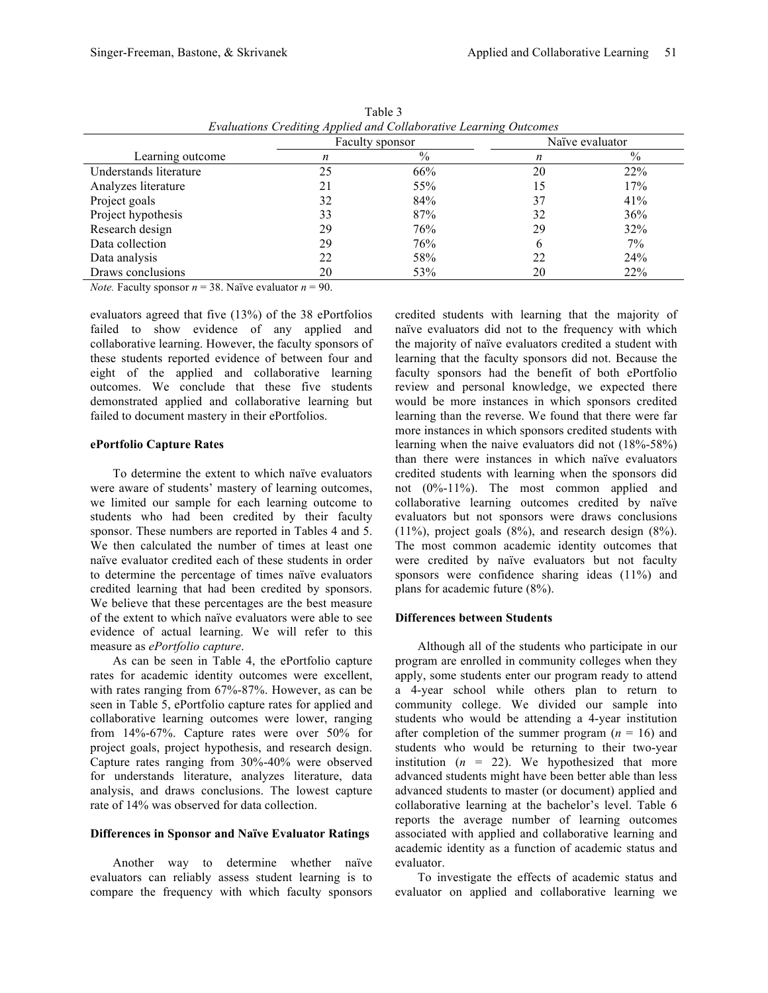| Evaluations Crediting Applied and Collaborative Learning Outcomes |                 |      |                 |       |
|-------------------------------------------------------------------|-----------------|------|-----------------|-------|
|                                                                   | Faculty sponsor |      | Naïve evaluator |       |
| Learning outcome                                                  | n               | $\%$ | n               | $\%$  |
| Understands literature                                            | 25              | 66%  | 20              | 22%   |
| Analyzes literature                                               | 21              | 55%  | 15              | 17%   |
| Project goals                                                     | 32              | 84%  | 37              | 41%   |
| Project hypothesis                                                | 33              | 87%  | 32              | 36%   |
| Research design                                                   | 29              | 76%  | 29              | 32%   |
| Data collection                                                   | 29              | 76%  | 6               | $7\%$ |
| Data analysis                                                     | 22              | 58%  | 22              | 24%   |
| Draws conclusions                                                 | 20              | 53%  | 20              | 22%   |

Table 3 *Evaluations Crediting Applied and Collaborative Learning Outcomes*

*Note.* Faculty sponsor  $n = 38$ . Naïve evaluator  $n = 90$ .

evaluators agreed that five (13%) of the 38 ePortfolios failed to show evidence of any applied and collaborative learning. However, the faculty sponsors of these students reported evidence of between four and eight of the applied and collaborative learning outcomes. We conclude that these five students demonstrated applied and collaborative learning but failed to document mastery in their ePortfolios.

#### **ePortfolio Capture Rates**

To determine the extent to which naïve evaluators were aware of students' mastery of learning outcomes, we limited our sample for each learning outcome to students who had been credited by their faculty sponsor. These numbers are reported in Tables 4 and 5. We then calculated the number of times at least one naïve evaluator credited each of these students in order to determine the percentage of times naïve evaluators credited learning that had been credited by sponsors. We believe that these percentages are the best measure of the extent to which naïve evaluators were able to see evidence of actual learning. We will refer to this measure as *ePortfolio capture*.

As can be seen in Table 4, the ePortfolio capture rates for academic identity outcomes were excellent, with rates ranging from 67%-87%. However, as can be seen in Table 5, ePortfolio capture rates for applied and collaborative learning outcomes were lower, ranging from 14%-67%. Capture rates were over 50% for project goals, project hypothesis, and research design. Capture rates ranging from 30%-40% were observed for understands literature, analyzes literature, data analysis, and draws conclusions. The lowest capture rate of 14% was observed for data collection.

#### **Differences in Sponsor and Naïve Evaluator Ratings**

Another way to determine whether naïve evaluators can reliably assess student learning is to compare the frequency with which faculty sponsors credited students with learning that the majority of naïve evaluators did not to the frequency with which the majority of naïve evaluators credited a student with learning that the faculty sponsors did not. Because the faculty sponsors had the benefit of both ePortfolio review and personal knowledge, we expected there would be more instances in which sponsors credited learning than the reverse. We found that there were far more instances in which sponsors credited students with learning when the naive evaluators did not (18%-58%) than there were instances in which naïve evaluators credited students with learning when the sponsors did not (0%-11%). The most common applied and collaborative learning outcomes credited by naïve evaluators but not sponsors were draws conclusions (11%), project goals (8%), and research design (8%). The most common academic identity outcomes that were credited by naïve evaluators but not faculty sponsors were confidence sharing ideas (11%) and plans for academic future (8%).

## **Differences between Students**

Although all of the students who participate in our program are enrolled in community colleges when they apply, some students enter our program ready to attend a 4-year school while others plan to return to community college. We divided our sample into students who would be attending a 4-year institution after completion of the summer program  $(n = 16)$  and students who would be returning to their two-year institution  $(n = 22)$ . We hypothesized that more advanced students might have been better able than less advanced students to master (or document) applied and collaborative learning at the bachelor's level. Table 6 reports the average number of learning outcomes associated with applied and collaborative learning and academic identity as a function of academic status and evaluator.

To investigate the effects of academic status and evaluator on applied and collaborative learning we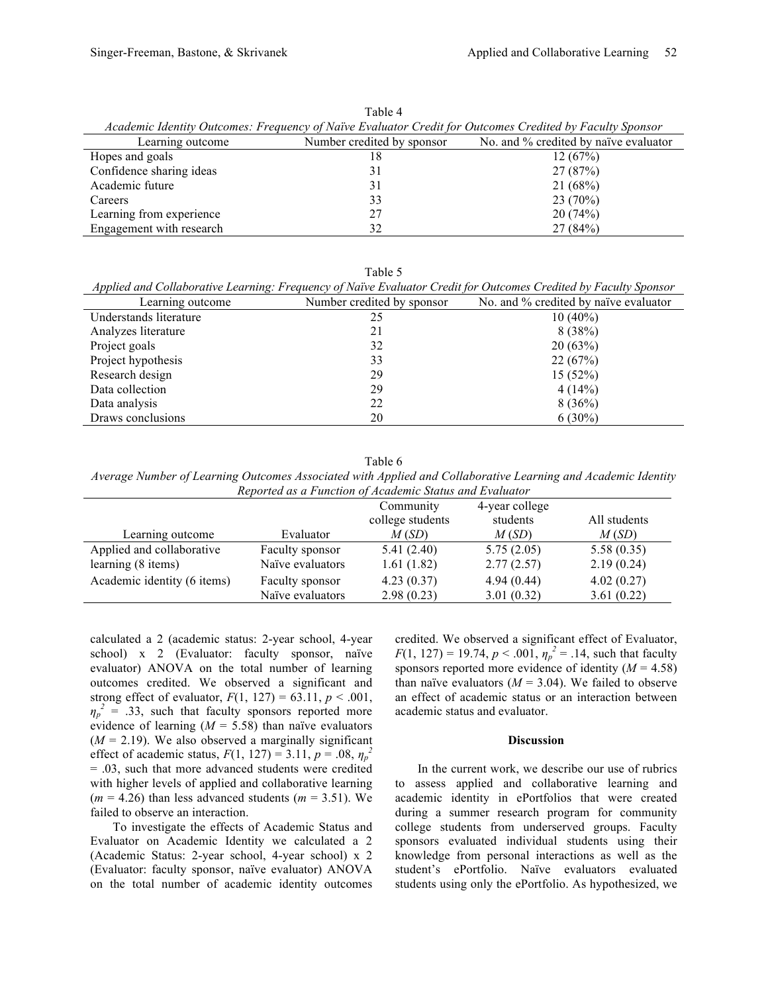| Academic Identity Outcomes: Frequency of Naïve Evaluator Credit for Outcomes Credited by Faculty Sponsor |    |                                       |  |  |
|----------------------------------------------------------------------------------------------------------|----|---------------------------------------|--|--|
| Number credited by sponsor<br>Learning outcome                                                           |    | No. and % credited by naïve evaluator |  |  |
| Hopes and goals                                                                                          | 18 | 12(67%)                               |  |  |
| Confidence sharing ideas                                                                                 | 31 | 27(87%)                               |  |  |
| Academic future                                                                                          | 31 | 21(68%)                               |  |  |
| Careers                                                                                                  | 33 | 23(70%)                               |  |  |
| Learning from experience                                                                                 | 27 | 20(74%)                               |  |  |
| Engagement with research                                                                                 | 32 | 27(84%)                               |  |  |

Table 4

Table 5

| No. and % credited by naïve evaluator |  |
|---------------------------------------|--|
|                                       |  |
|                                       |  |
|                                       |  |
|                                       |  |
|                                       |  |
|                                       |  |
|                                       |  |
|                                       |  |
|                                       |  |

Table 6

*Average Number of Learning Outcomes Associated with Applied and Collaborative Learning and Academic Identity Reported as a Function of Academic Status and Evaluator*

|                             |                  | Community        | 4-year college |              |
|-----------------------------|------------------|------------------|----------------|--------------|
|                             |                  | college students | students       | All students |
| Learning outcome            | Evaluator        | M(SD)            | M(SD)          | M(SD)        |
| Applied and collaborative   | Faculty sponsor  | 5.41(2.40)       | 5.75(2.05)     | 5.58(0.35)   |
| learning (8 items)          | Naïve evaluators | 1.61(1.82)       | 2.77(2.57)     | 2.19(0.24)   |
| Academic identity (6 items) | Faculty sponsor  | 4.23(0.37)       | 4.94(0.44)     | 4.02(0.27)   |
|                             | Naïve evaluators | 2.98(0.23)       | 3.01(0.32)     | 3.61(0.22)   |

calculated a 2 (academic status: 2-year school, 4-year school) x 2 (Evaluator: faculty sponsor, naïve evaluator) ANOVA on the total number of learning outcomes credited. We observed a significant and strong effect of evaluator,  $F(1, 127) = 63.11, p < .001$ ,  $\eta_p^2$  = .33, such that faculty sponsors reported more evidence of learning  $(M = 5.58)$  than naïve evaluators  $(M = 2.19)$ . We also observed a marginally significant effect of academic status,  $F(1, 127) = 3.11$ ,  $p = .08$ ,  $\eta_p^2$ = .03, such that more advanced students were credited with higher levels of applied and collaborative learning  $(m = 4.26)$  than less advanced students  $(m = 3.51)$ . We failed to observe an interaction.

To investigate the effects of Academic Status and Evaluator on Academic Identity we calculated a 2 (Academic Status: 2-year school, 4-year school) x 2 (Evaluator: faculty sponsor, naïve evaluator) ANOVA on the total number of academic identity outcomes credited. We observed a significant effect of Evaluator, *F*(1, 127) = 19.74,  $p < .001$ ,  $\eta_p^2 = .14$ , such that faculty sponsors reported more evidence of identity  $(M = 4.58)$ than naïve evaluators  $(M = 3.04)$ . We failed to observe an effect of academic status or an interaction between academic status and evaluator.

#### **Discussion**

In the current work, we describe our use of rubrics to assess applied and collaborative learning and academic identity in ePortfolios that were created during a summer research program for community college students from underserved groups. Faculty sponsors evaluated individual students using their knowledge from personal interactions as well as the student's ePortfolio. Naïve evaluators evaluated students using only the ePortfolio. As hypothesized, we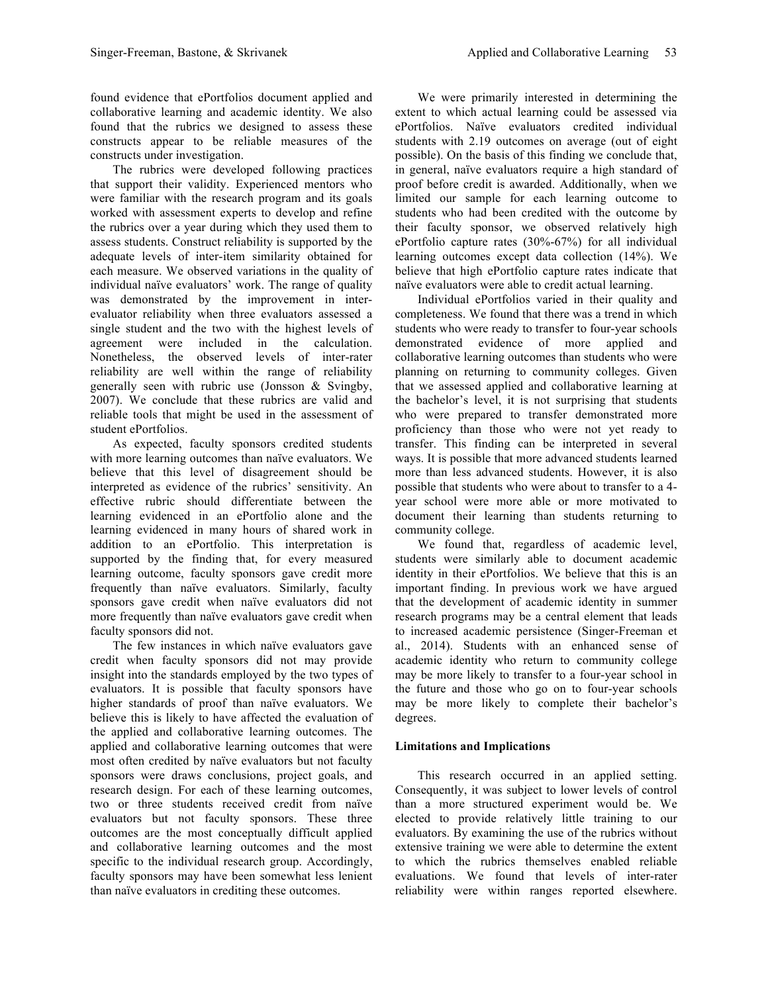found evidence that ePortfolios document applied and collaborative learning and academic identity. We also found that the rubrics we designed to assess these constructs appear to be reliable measures of the constructs under investigation.

The rubrics were developed following practices that support their validity. Experienced mentors who were familiar with the research program and its goals worked with assessment experts to develop and refine the rubrics over a year during which they used them to assess students. Construct reliability is supported by the adequate levels of inter-item similarity obtained for each measure. We observed variations in the quality of individual naïve evaluators' work. The range of quality was demonstrated by the improvement in interevaluator reliability when three evaluators assessed a single student and the two with the highest levels of agreement were included in the calculation. Nonetheless, the observed levels of inter-rater reliability are well within the range of reliability generally seen with rubric use (Jonsson & Svingby, 2007). We conclude that these rubrics are valid and reliable tools that might be used in the assessment of student ePortfolios.

As expected, faculty sponsors credited students with more learning outcomes than naïve evaluators. We believe that this level of disagreement should be interpreted as evidence of the rubrics' sensitivity. An effective rubric should differentiate between the learning evidenced in an ePortfolio alone and the learning evidenced in many hours of shared work in addition to an ePortfolio. This interpretation is supported by the finding that, for every measured learning outcome, faculty sponsors gave credit more frequently than naïve evaluators. Similarly, faculty sponsors gave credit when naïve evaluators did not more frequently than naïve evaluators gave credit when faculty sponsors did not.

The few instances in which naïve evaluators gave credit when faculty sponsors did not may provide insight into the standards employed by the two types of evaluators. It is possible that faculty sponsors have higher standards of proof than naïve evaluators. We believe this is likely to have affected the evaluation of the applied and collaborative learning outcomes. The applied and collaborative learning outcomes that were most often credited by naïve evaluators but not faculty sponsors were draws conclusions, project goals, and research design. For each of these learning outcomes, two or three students received credit from naïve evaluators but not faculty sponsors. These three outcomes are the most conceptually difficult applied and collaborative learning outcomes and the most specific to the individual research group. Accordingly, faculty sponsors may have been somewhat less lenient than naïve evaluators in crediting these outcomes.

We were primarily interested in determining the extent to which actual learning could be assessed via ePortfolios. Naïve evaluators credited individual students with 2.19 outcomes on average (out of eight possible). On the basis of this finding we conclude that, in general, naïve evaluators require a high standard of proof before credit is awarded. Additionally, when we limited our sample for each learning outcome to students who had been credited with the outcome by their faculty sponsor, we observed relatively high ePortfolio capture rates (30%-67%) for all individual learning outcomes except data collection (14%). We believe that high ePortfolio capture rates indicate that naïve evaluators were able to credit actual learning.

Individual ePortfolios varied in their quality and completeness. We found that there was a trend in which students who were ready to transfer to four-year schools demonstrated evidence of more applied and collaborative learning outcomes than students who were planning on returning to community colleges. Given that we assessed applied and collaborative learning at the bachelor's level, it is not surprising that students who were prepared to transfer demonstrated more proficiency than those who were not yet ready to transfer. This finding can be interpreted in several ways. It is possible that more advanced students learned more than less advanced students. However, it is also possible that students who were about to transfer to a 4 year school were more able or more motivated to document their learning than students returning to community college.

We found that, regardless of academic level, students were similarly able to document academic identity in their ePortfolios. We believe that this is an important finding. In previous work we have argued that the development of academic identity in summer research programs may be a central element that leads to increased academic persistence (Singer-Freeman et al., 2014). Students with an enhanced sense of academic identity who return to community college may be more likely to transfer to a four-year school in the future and those who go on to four-year schools may be more likely to complete their bachelor's degrees.

# **Limitations and Implications**

This research occurred in an applied setting. Consequently, it was subject to lower levels of control than a more structured experiment would be. We elected to provide relatively little training to our evaluators. By examining the use of the rubrics without extensive training we were able to determine the extent to which the rubrics themselves enabled reliable evaluations. We found that levels of inter-rater reliability were within ranges reported elsewhere.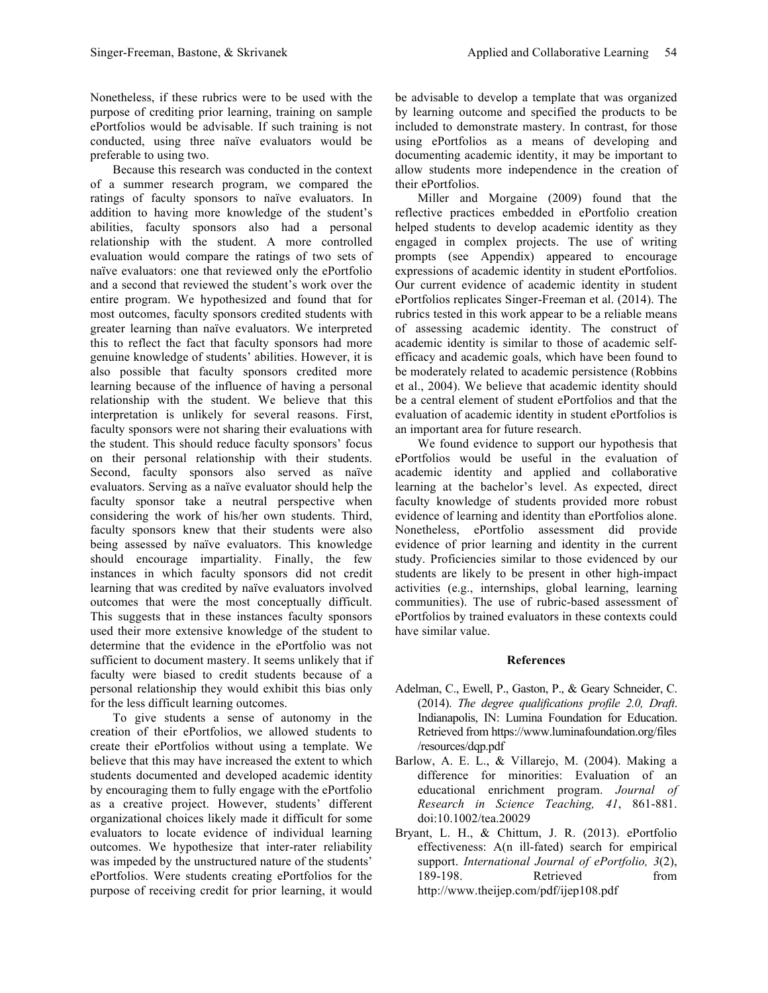Nonetheless, if these rubrics were to be used with the purpose of crediting prior learning, training on sample ePortfolios would be advisable. If such training is not conducted, using three naïve evaluators would be preferable to using two.

Because this research was conducted in the context of a summer research program, we compared the ratings of faculty sponsors to naïve evaluators. In addition to having more knowledge of the student's abilities, faculty sponsors also had a personal relationship with the student. A more controlled evaluation would compare the ratings of two sets of naïve evaluators: one that reviewed only the ePortfolio and a second that reviewed the student's work over the entire program. We hypothesized and found that for most outcomes, faculty sponsors credited students with greater learning than naïve evaluators. We interpreted this to reflect the fact that faculty sponsors had more genuine knowledge of students' abilities. However, it is also possible that faculty sponsors credited more learning because of the influence of having a personal relationship with the student. We believe that this interpretation is unlikely for several reasons. First, faculty sponsors were not sharing their evaluations with the student. This should reduce faculty sponsors' focus on their personal relationship with their students. Second, faculty sponsors also served as naïve evaluators. Serving as a naïve evaluator should help the faculty sponsor take a neutral perspective when considering the work of his/her own students. Third, faculty sponsors knew that their students were also being assessed by naïve evaluators. This knowledge should encourage impartiality. Finally, the few instances in which faculty sponsors did not credit learning that was credited by naïve evaluators involved outcomes that were the most conceptually difficult. This suggests that in these instances faculty sponsors used their more extensive knowledge of the student to determine that the evidence in the ePortfolio was not sufficient to document mastery. It seems unlikely that if faculty were biased to credit students because of a personal relationship they would exhibit this bias only for the less difficult learning outcomes.

To give students a sense of autonomy in the creation of their ePortfolios, we allowed students to create their ePortfolios without using a template. We believe that this may have increased the extent to which students documented and developed academic identity by encouraging them to fully engage with the ePortfolio as a creative project. However, students' different organizational choices likely made it difficult for some evaluators to locate evidence of individual learning outcomes. We hypothesize that inter-rater reliability was impeded by the unstructured nature of the students' ePortfolios. Were students creating ePortfolios for the purpose of receiving credit for prior learning, it would

be advisable to develop a template that was organized by learning outcome and specified the products to be included to demonstrate mastery. In contrast, for those using ePortfolios as a means of developing and documenting academic identity, it may be important to allow students more independence in the creation of their ePortfolios.

Miller and Morgaine (2009) found that the reflective practices embedded in ePortfolio creation helped students to develop academic identity as they engaged in complex projects. The use of writing prompts (see Appendix) appeared to encourage expressions of academic identity in student ePortfolios. Our current evidence of academic identity in student ePortfolios replicates Singer-Freeman et al. (2014). The rubrics tested in this work appear to be a reliable means of assessing academic identity. The construct of academic identity is similar to those of academic selfefficacy and academic goals, which have been found to be moderately related to academic persistence (Robbins et al., 2004). We believe that academic identity should be a central element of student ePortfolios and that the evaluation of academic identity in student ePortfolios is an important area for future research.

We found evidence to support our hypothesis that ePortfolios would be useful in the evaluation of academic identity and applied and collaborative learning at the bachelor's level. As expected, direct faculty knowledge of students provided more robust evidence of learning and identity than ePortfolios alone. Nonetheless, ePortfolio assessment did provide evidence of prior learning and identity in the current study. Proficiencies similar to those evidenced by our students are likely to be present in other high-impact activities (e.g., internships, global learning, learning communities). The use of rubric-based assessment of ePortfolios by trained evaluators in these contexts could have similar value.

# **References**

- Adelman, C., Ewell, P., Gaston, P., & Geary Schneider, C. (2014). *The degree qualifications profile 2.0, Draft*. Indianapolis, IN: Lumina Foundation for Education. Retrieved from https://www.luminafoundation.org/files /resources/dqp.pdf
- Barlow, A. E. L., & Villarejo, M. (2004). Making a difference for minorities: Evaluation of an educational enrichment program. *Journal of Research in Science Teaching, 41*, 861-881. doi:10.1002/tea.20029
- Bryant, L. H., & Chittum, J. R. (2013). ePortfolio effectiveness: A(n ill-fated) search for empirical support. *International Journal of ePortfolio, 3*(2), 189-198. Retrieved from http://www.theijep.com/pdf/ijep108.pdf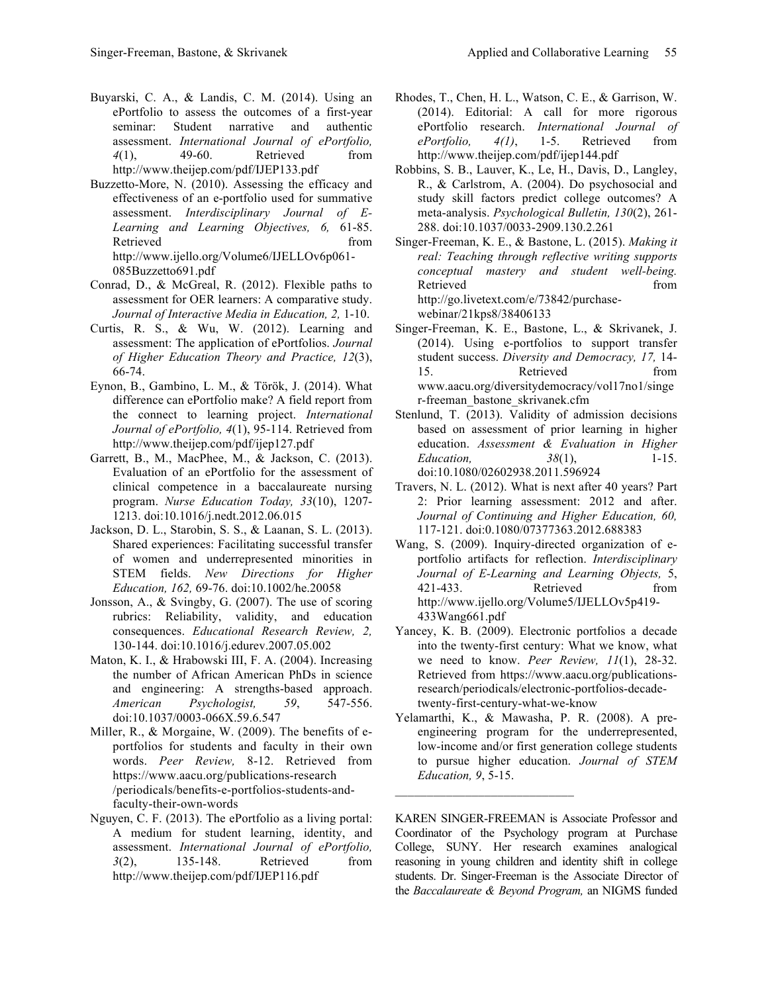- Buyarski, C. A., & Landis, C. M. (2014). Using an ePortfolio to assess the outcomes of a first-year seminar: Student narrative and authentic assessment. *International Journal of ePortfolio, 4*(1), 49-60. Retrieved from http://www.theijep.com/pdf/IJEP133.pdf
- Buzzetto-More, N. (2010). Assessing the efficacy and effectiveness of an e-portfolio used for summative assessment. *Interdisciplinary Journal of E-Learning and Learning Objectives, 6,* 61-85. Retrieved from the settlement of the settlement of the settlement of the settlement of the settlement of the settlement of the settlement of the settlement of the settlement of the settlement of the settlement of the settl http://www.ijello.org/Volume6/IJELLOv6p061- 085Buzzetto691.pdf
- Conrad, D., & McGreal, R. (2012). Flexible paths to assessment for OER learners: A comparative study. *Journal of Interactive Media in Education, 2,* 1-10.
- Curtis, R. S., & Wu, W. (2012). Learning and assessment: The application of ePortfolios. *Journal of Higher Education Theory and Practice, 12*(3), 66-74.
- Eynon, B., Gambino, L. M., & Török, J. (2014). What difference can ePortfolio make? A field report from the connect to learning project. *International Journal of ePortfolio, 4*(1), 95-114. Retrieved from http://www.theijep.com/pdf/ijep127.pdf
- Garrett, B., M., MacPhee, M., & Jackson, C. (2013). Evaluation of an ePortfolio for the assessment of clinical competence in a baccalaureate nursing program. *Nurse Education Today, 33*(10), 1207- 1213. doi:10.1016/j.nedt.2012.06.015
- Jackson, D. L., Starobin, S. S., & Laanan, S. L. (2013). Shared experiences: Facilitating successful transfer of women and underrepresented minorities in STEM fields. *New Directions for Higher Education, 162,* 69-76. doi:10.1002/he.20058
- Jonsson, A., & Svingby, G. (2007). The use of scoring rubrics: Reliability, validity, and education consequences. *Educational Research Review, 2,*  130-144. doi:10.1016/j.edurev.2007.05.002
- Maton, K. I., & Hrabowski III, F. A. (2004). Increasing the number of African American PhDs in science and engineering: A strengths-based approach. *American Psychologist, 59*, 547-556. doi:10.1037/0003-066X.59.6.547
- Miller, R., & Morgaine, W. (2009). The benefits of eportfolios for students and faculty in their own words. *Peer Review,* 8-12. Retrieved from https://www.aacu.org/publications-research /periodicals/benefits-e-portfolios-students-andfaculty-their-own-words
- Nguyen, C. F. (2013). The ePortfolio as a living portal: A medium for student learning, identity, and assessment. *International Journal of ePortfolio, 3*(2), 135-148. Retrieved from http://www.theijep.com/pdf/IJEP116.pdf
- Rhodes, T., Chen, H. L., Watson, C. E., & Garrison, W. (2014). Editorial: A call for more rigorous ePortfolio research. *International Journal of ePortfolio, 4(1)*, 1-5. Retrieved from http://www.theijep.com/pdf/ijep144.pdf
- Robbins, S. B., Lauver, K., Le, H., Davis, D., Langley, R., & Carlstrom, A. (2004). Do psychosocial and study skill factors predict college outcomes? A meta-analysis. *Psychological Bulletin, 130*(2), 261- 288. doi:10.1037/0033-2909.130.2.261
- Singer-Freeman, K. E., & Bastone, L. (2015). *Making it real: Teaching through reflective writing supports conceptual mastery and student well-being.* Retrieved from the state of the state of the state of the state of the state of the state of the state of the state of the state of the state of the state of the state of the state of the state of the state of the state of http://go.livetext.com/e/73842/purchasewebinar/21kps8/38406133
- Singer-Freeman, K. E., Bastone, L., & Skrivanek, J. (2014). Using e-portfolios to support transfer student success. *Diversity and Democracy, 17,* 14- 15. Retrieved from www.aacu.org/diversitydemocracy/vol17no1/singe r-freeman\_bastone\_skrivanek.cfm
- Stenlund, T. (2013). Validity of admission decisions based on assessment of prior learning in higher education. *Assessment & Evaluation in Higher Education,* 38(1), 1-15. doi:10.1080/02602938.2011.596924
- Travers, N. L. (2012). What is next after 40 years? Part 2: Prior learning assessment: 2012 and after. *Journal of Continuing and Higher Education, 60,* 117-121. doi:0.1080/07377363.2012.688383
- Wang, S. (2009). Inquiry-directed organization of eportfolio artifacts for reflection. *Interdisciplinary Journal of E-Learning and Learning Objects,* 5, 421-433. Retrieved from http://www.ijello.org/Volume5/IJELLOv5p419- 433Wang661.pdf
- Yancey, K. B. (2009). Electronic portfolios a decade into the twenty-first century: What we know, what we need to know. *Peer Review, 11*(1), 28-32. Retrieved from https://www.aacu.org/publicationsresearch/periodicals/electronic-portfolios-decadetwenty-first-century-what-we-know
- Yelamarthi, K., & Mawasha, P. R. (2008). A preengineering program for the underrepresented, low-income and/or first generation college students to pursue higher education. *Journal of STEM Education, 9*, 5-15.

 $\mathcal{L}_\text{max}$  , where  $\mathcal{L}_\text{max}$  and  $\mathcal{L}_\text{max}$ 

KAREN SINGER-FREEMAN is Associate Professor and Coordinator of the Psychology program at Purchase College, SUNY. Her research examines analogical reasoning in young children and identity shift in college students. Dr. Singer-Freeman is the Associate Director of the *Baccalaureate & Beyond Program,* an NIGMS funded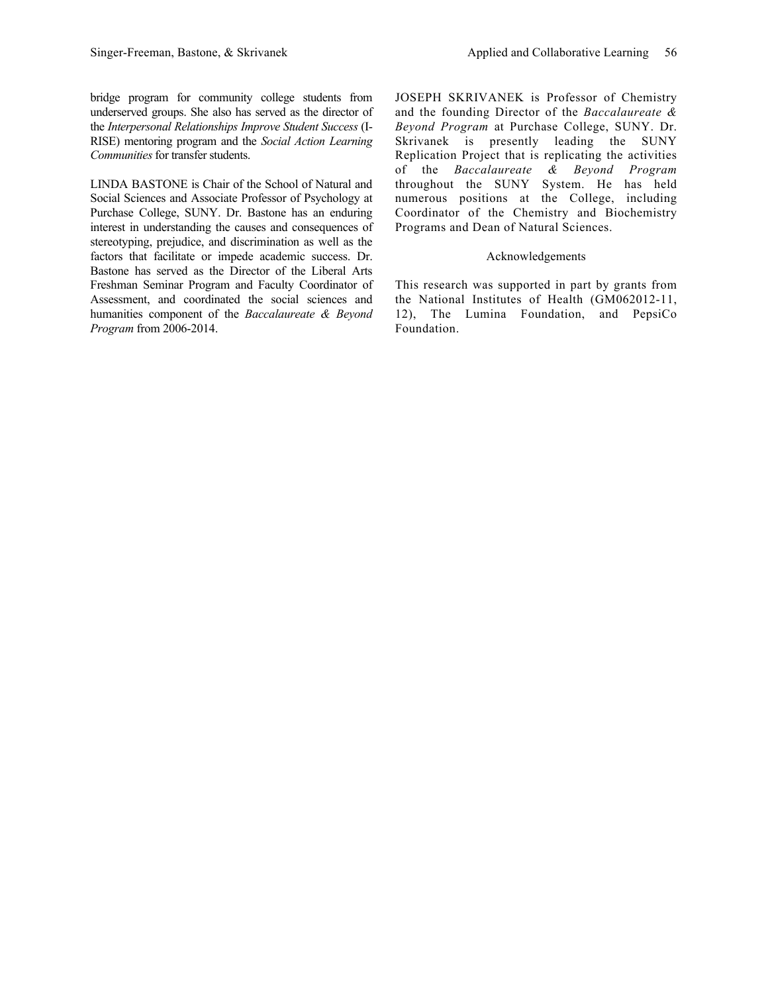bridge program for community college students from underserved groups. She also has served as the director of the *Interpersonal Relationships Improve Student Success* (I-RISE) mentoring program and the *Social Action Learning Communities* for transfer students.

LINDA BASTONE is Chair of the School of Natural and Social Sciences and Associate Professor of Psychology at Purchase College, SUNY. Dr. Bastone has an enduring interest in understanding the causes and consequences of stereotyping, prejudice, and discrimination as well as the factors that facilitate or impede academic success. Dr. Bastone has served as the Director of the Liberal Arts Freshman Seminar Program and Faculty Coordinator of Assessment, and coordinated the social sciences and humanities component of the *Baccalaureate & Beyond Program* from 2006-2014.

JOSEPH SKRIVANEK is Professor of Chemistry and the founding Director of the *Baccalaureate & Beyond Program* at Purchase College, SUNY. Dr. Skrivanek is presently leading the SUNY Replication Project that is replicating the activities of the *Baccalaureate & Beyond Program*  throughout the SUNY System. He has held numerous positions at the College, including Coordinator of the Chemistry and Biochemistry Programs and Dean of Natural Sciences.

## Acknowledgements

This research was supported in part by grants from the National Institutes of Health (GM062012-11, 12), The Lumina Foundation, and PepsiCo Foundation.